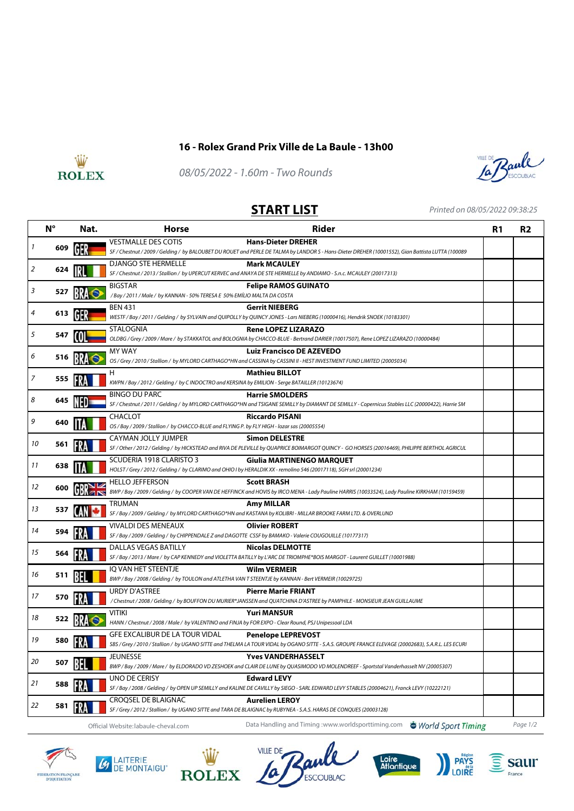

## **16 - Rolex Grand Prix Ville de La Baule - 13h00**



08/05/2022 - 1.60m - Two Rounds



**START LIST** Printed on 08/05/2022 09:38:25

|    | $N^{\circ}$ | Nat. | <b>Horse</b>                                                                                                          | <b>Rider</b>                                                                                                                                                              | R <sub>1</sub> | <b>R2</b> |
|----|-------------|------|-----------------------------------------------------------------------------------------------------------------------|---------------------------------------------------------------------------------------------------------------------------------------------------------------------------|----------------|-----------|
| 1  | 609         |      | <b>VESTMALLE DES COTIS</b>                                                                                            | <b>Hans-Dieter DREHER</b>                                                                                                                                                 |                |           |
|    |             |      | <b>DJANGO STE HERMELLE</b>                                                                                            | SF / Chestnut / 2009 / Gelding / by BALOUBET DU ROUET and PERLE DE TALMA by LANDOR S - Hans-Dieter DREHER (10001552), Gian Battista LUTTA (100089<br><b>Mark MCAULEY</b>  |                |           |
| 2  | 624         |      |                                                                                                                       | SF / Chestnut / 2013 / Stallion / by UPERCUT KERVEC and ANAYA DE STE HERMELLE by ANDIAMO - S.n.c. MCAULEY (20017313)                                                      |                |           |
| 3  | 527         |      | <b>BIGSTAR</b>                                                                                                        | <b>Felipe RAMOS GUINATO</b>                                                                                                                                               |                |           |
|    |             |      | /Bay / 2011 / Male / by KANNAN - 50% TERESA E 50% EMÍLIO MALTA DA COSTA                                               |                                                                                                                                                                           |                |           |
| 4  | 613         | GH.  | <b>BEN 431</b>                                                                                                        | <b>Gerrit NIEBERG</b><br>WESTF / Bay / 2011 / Gelding / by SYLVAIN and QUIPOLLY by QUINCY JONES - Lars NIEBERG (10000416), Hendrik SNOEK (10183301)                       |                |           |
|    |             |      | <b>STALOGNIA</b>                                                                                                      | <b>Rene LOPEZ LIZARAZO</b>                                                                                                                                                |                |           |
| 5  | 547         |      |                                                                                                                       | OLDBG / Grey / 2009 / Mare / by STAKKATOL and BOLOGNIA by CHACCO-BLUE - Bertrand DARIER (10017507), Rene LOPEZ LIZARAZO (10000484)                                        |                |           |
| 6  |             |      | MY WAY                                                                                                                | <b>Luiz Francisco DE AZEVEDO</b>                                                                                                                                          |                |           |
|    | 516         |      |                                                                                                                       | OS / Grey / 2010 / Stallion / by MYLORD CARTHAGO*HN and CASSINA by CASSINI II - HEST INVESTMENT FUND LIMITED (20005034)                                                   |                |           |
| 7  | 555         |      | н                                                                                                                     | <b>Mathieu BILLOT</b>                                                                                                                                                     |                |           |
|    |             |      | KWPN / Bay / 2012 / Gelding / by C INDOCTRO and KERSINA by EMILION - Serge BATAILLER (10123674)                       |                                                                                                                                                                           |                |           |
| 8  | 645         |      | <b>BINGO DU PARC</b>                                                                                                  | <b>Harrie SMOLDERS</b><br>SF / Chestnut / 2011 / Gelding / by MYLORD CARTHAGO*HN and TSIGANE SEMILLY by DIAMANT DE SEMILLY - Copernicus Stables LLC (20000422), Harrie SM |                |           |
|    |             |      | <b>CHACLOT</b>                                                                                                        | <b>Riccardo PISANI</b>                                                                                                                                                    |                |           |
| 9  | 640         |      | OS / Bay / 2009 / Stallion / by CHACCO-BLUE and FLYING P. by FLY HIGH - lozar sas (20005554)                          |                                                                                                                                                                           |                |           |
|    |             |      | CAYMAN JOLLY JUMPER                                                                                                   | <b>Simon DELESTRE</b>                                                                                                                                                     |                |           |
| 10 | 561         |      |                                                                                                                       | SF / Other / 2012 / Gelding / by HICKSTEAD and RIVA DE PLEVILLE by QUAPRICE BOIMARGOT QUINCY - GO HORSES (20016469), PHILIPPE BERTHOL AGRICUL                             |                |           |
| 11 |             |      | SCUDERIA 1918 CLARISTO 3                                                                                              | Giulia MARTINENGO MARQUET                                                                                                                                                 |                |           |
|    | 638         |      |                                                                                                                       | HOLST / Grey / 2012 / Gelding / by CLARIMO and OHIO I by HERALDIK XX - remolino 546 (20017118), SGH srl (20001234)                                                        |                |           |
| 12 | 600         |      | <b>HELLO JEFFERSON</b>                                                                                                | <b>Scott BRASH</b>                                                                                                                                                        |                |           |
|    |             |      |                                                                                                                       | BWP/Bay/2009/Gelding/byCOOPER VAN DE HEFFINCK and HOVIS by IRCO MENA - Lady Pauline HARRIS (10033524), Lady Pauline KIRKHAM (10159459)                                    |                |           |
| 13 | 537         |      | TRUMAN                                                                                                                | <b>Amy MILLAR</b><br>SF / Bay / 2009 / Gelding / by MYLORD CARTHAGO*HN and KASTANA by KOLIBRI - MILLAR BROOKE FARM LTD. & OVERLUND                                        |                |           |
|    |             |      | VIVALDI DES MENEAUX                                                                                                   | <b>Olivier ROBERT</b>                                                                                                                                                     |                |           |
| 14 | 594         |      | SF / Bay / 2009 / Gelding / by CHIPPENDALE Z and DAGOTTE CSSF by BAMAKO - Valerie COUGOUILLE (10177317)               |                                                                                                                                                                           |                |           |
|    |             |      | DALLAS VEGAS BATILLY                                                                                                  | <b>Nicolas DELMOTTE</b>                                                                                                                                                   |                |           |
| 15 | 564         |      |                                                                                                                       | SF / Bay / 2013 / Mare / by CAP KENNEDY and VIOLETTA BATILLY by L'ARC DE TRIOMPHE*BOIS MARGOT - Laurent GUILLET (10001988)                                                |                |           |
| 16 |             |      | IQ VAN HET STEENTJE                                                                                                   | <b>Wilm VERMEIR</b>                                                                                                                                                       |                |           |
|    | 511         |      | BWP / Bay / 2008 / Gelding / by TOULON and ATLETHA VAN T STEENTJE by KANNAN - Bert VERMEIR (10029725)                 |                                                                                                                                                                           |                |           |
| 17 | 570         |      | <b>URDY D'ASTREE</b>                                                                                                  | <b>Pierre Marie FRIANT</b>                                                                                                                                                |                |           |
|    |             |      |                                                                                                                       | / Chestnut / 2008 / Gelding / by BOUFFON DU MURIER*JANSSEN and QUATCHINA D'ASTREE by PAMPHILE - MONSIEUR JEAN GUILLAUME                                                   |                |           |
| 18 | 522         |      | <b>VITIKI</b><br>HANN / Chestnut / 2008 / Male / by VALENTINO and FINJA by FOR EXPO - Clear Round, PSJ Unipessoal LDA | <b>Yuri MANSUR</b>                                                                                                                                                        |                |           |
|    |             |      | GFE EXCALIBUR DE LA TOUR VIDAL                                                                                        | <b>Penelope LEPREVOST</b>                                                                                                                                                 |                |           |
| 19 | 580         |      |                                                                                                                       | SBS / Grey / 2010 / Stallion / by UGANO SITTE and THELMA LA TOUR VIDAL by OGANO SITTE - S.A.S. GROUPE FRANCE ELEVAGE (20002683), S.A.R.L. LES ECURI                       |                |           |
|    |             |      | <b>JEUNESSE</b>                                                                                                       | <b>Yves VANDERHASSELT</b>                                                                                                                                                 |                |           |
| 20 | 507         |      |                                                                                                                       | BWP/Bay/2009/Mare/ by ELDORADO VD ZESHOEK and CLAIR DE LUNE by QUASIMODO VD MOLENDREEF - Sportstal Vanderhasselt NV (20005307)                                            |                |           |
| 21 | 588         |      | UNO DE CERISY                                                                                                         | <b>Edward LEVY</b>                                                                                                                                                        |                |           |
|    |             |      |                                                                                                                       | SF / Bay / 2008 / Gelding / by OPEN UP SEMILLY and KALINE DE CAVILLY by SIEGO - SARL EDWARD LEVY STABLES (20004621), Franck LEVY (10222121)                               |                |           |
| 22 | 581         | FR   | CROQSEL DE BLAIGNAC                                                                                                   | <b>Aurelien LEROY</b>                                                                                                                                                     |                |           |
|    |             |      |                                                                                                                       | SF / Grey / 2012 / Stallion / by UGANO SITTE and TARA DE BLAIGNAC by RUBYNEA - S.A.S. HARAS DE CONQUES (20003128)                                                         |                |           |
|    |             |      | Official Website: labaule-cheval.com                                                                                  | Data Handling and Timing :www.worldsporttiming.com World Sport Timing                                                                                                     |                | Page 1/2  |